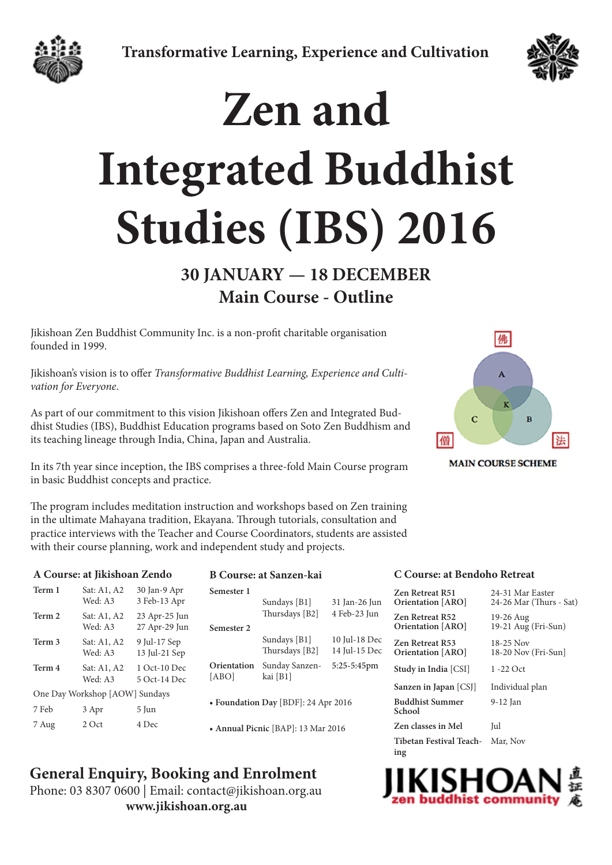



# **Zen and Integrated Buddhist Studies (IBS) 2016**

## **30 JANUARY — 18 DECEMBER Main Course - Outline**

Jikishoan Zen Buddhist Community Inc. is a non-profit charitable organisation founded in 1999.

Jikishoan's vision is to offer *Transformative Buddhist Learning, Experience and Cultivation for Everyone*.

As part of our commitment to this vision Jikishoan offers Zen and Integrated Buddhist Studies (IBS), Buddhist Education programs based on Soto Zen Buddhism and its teaching lineage through India, China, Japan and Australia.

In its 7th year since inception, the IBS comprises a three-fold Main Course program in basic Buddhist concepts and practice.

佛 Ā  $\overline{c}$ B 僧 法

**MAIN COURSE SCHEME** 

The program includes meditation instruction and workshops based on Zen training in the ultimate Mahayana tradition, Ekayana. Through tutorials, consultation and practice interviews with the Teacher and Course Coordinators, students are assisted with their course planning, work and independent study and projects.

### **A Course: at Jikishoan Zendo**

| Term 1                         | Sat: A1, A2<br>Wed: A3 | 30 Jan-9 Apr<br>3 Feb-13 Apr   |  |
|--------------------------------|------------------------|--------------------------------|--|
| Term 2                         | Sat: A1, A2<br>Wed: A3 | 23 Apr-25 Jun<br>27 Apr-29 Jun |  |
| Term 3                         | Sat: A1, A2<br>Wed: A3 | 9 Jul-17 Sep<br>13 Jul-21 Sep  |  |
| Term 4                         | Sat: A1, A2<br>Wed: A3 | 1 Oct-10 Dec<br>5 Oct-14 Dec   |  |
| One Day Workshop [AOW] Sundays |                        |                                |  |
| 7 Feb                          | 3 Apr                  | 5 Jun                          |  |
| 7 Aug                          | 2 Oct                  | 4 Dec                          |  |

### **B Course: at Sanzen-kai**

| Semester 1                          |                |               |  |
|-------------------------------------|----------------|---------------|--|
|                                     | Sundays [B1]   | 31 Jan-26 Jun |  |
|                                     | Thursdays [B2] | 4 Feb-23 Jun  |  |
| Semester 2                          |                |               |  |
|                                     | Sundays $[B1]$ | 10 Jul-18 Dec |  |
|                                     | Thursdays [B2] | 14 Jul-15 Dec |  |
| Orientation                         | Sunday Sanzen- | 5:25-5:45pm   |  |
| [ABO]                               | kai [B1]       |               |  |
|                                     |                |               |  |
| • Foundation Day [BDF]: 24 Apr 2016 |                |               |  |
|                                     |                |               |  |
| • Annual Picnic [BAP]: 13 Mar 2016  |                |               |  |

### **General Enquiry, Booking and Enrolment**

Phone: 03 8307 0600 | Email: [contact@jikishoan.org.au](mailto:contact%40jikishoan.org.au%20?subject=IBS%20Enqiry) **[www.jikishoan.org.au](http://www.jikishoan.org.au)**

### **C Course: at Bendoho Retreat**

| Zen Retreat R51<br><b>Orientation</b> [ARO]        | 24-31 Mar Easter<br>24-26 Mar (Thurs - Sat) |
|----------------------------------------------------|---------------------------------------------|
| Zen Retreat R52<br><b>Orientation</b> [ARO]        | 19-26 Aug<br>$19-21$ Aug (Fri-Sun)          |
| <b>Zen Retreat R53</b><br><b>Orientation</b> [ARO] | 18-25 Nov<br>18-20 Nov (Fri-Sun)            |
| Study in India [CSI]                               | 1 -22 Oct                                   |
| Sanzen in Japan [CSJ]                              | Individual plan                             |
| <b>Buddhist Summer</b><br>School                   | 9-12 Jan                                    |
| Zen classes in Mel                                 | Jul                                         |
| Tibetan Festival Teach-<br>ing                     | Mar. Nov                                    |

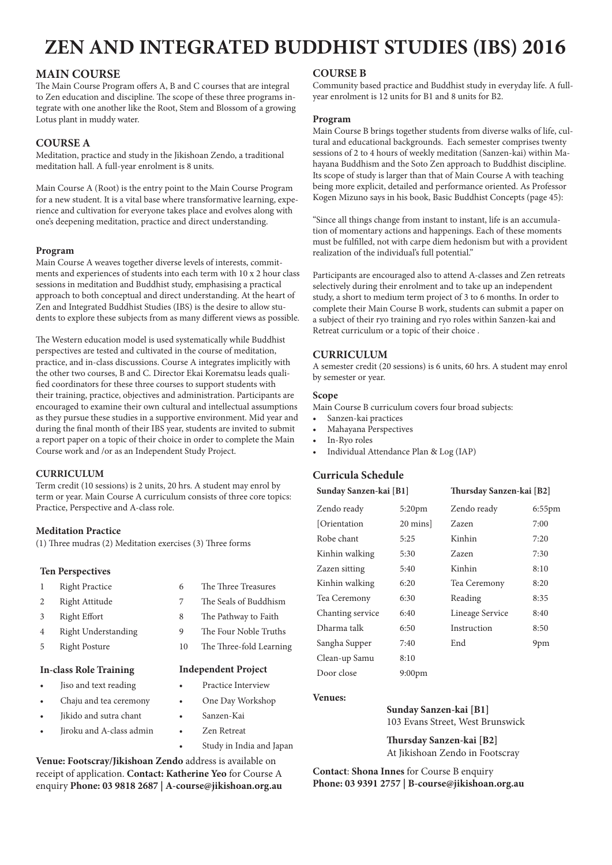### **MAIN COURSE**

The Main Course Program offers A, B and C courses that are integral to Zen education and discipline. The scope of these three programs integrate with one another like the Root, Stem and Blossom of a growing Lotus plant in muddy water.

### **COURSE A**

Meditation, practice and study in the Jikishoan Zendo, a traditional meditation hall. A full-year enrolment is 8 units.

Main Course A (Root) is the entry point to the Main Course Program for a new student. It is a vital base where transformative learning, experience and cultivation for everyone takes place and evolves along with one's deepening meditation, practice and direct understanding.

### **Program**

Main Course A weaves together diverse levels of interests, commitments and experiences of students into each term with 10 x 2 hour class sessions in meditation and Buddhist study, emphasising a practical approach to both conceptual and direct understanding. At the heart of Zen and Integrated Buddhist Studies (IBS) is the desire to allow students to explore these subjects from as many different views as possible.

The Western education model is used systematically while Buddhist perspectives are tested and cultivated in the course of meditation, practice, and in-class discussions. Course A integrates implicitly with the other two courses, B and C. Director Ekai Korematsu leads qualified coordinators for these three courses to support students with their training, practice, objectives and administration. Participants are encouraged to examine their own cultural and intellectual assumptions as they pursue these studies in a supportive environment. Mid year and during the final month of their IBS year, students are invited to submit a report paper on a topic of their choice in order to complete the Main Course work and /or as an Independent Study Project.

### **CURRICULUM**

Term credit (10 sessions) is 2 units, 20 hrs. A student may enrol by term or year. Main Course A curriculum consists of three core topics: Practice, Perspective and A-class role.

### **Meditation Practice**

(1) Three mudras (2) Meditation exercises (3) Three forms

### **Ten Perspectives**

- 
- 
- 
- 4 Right Understanding 9 The Four Noble Truths
- 

### **In-class Role Training Independent Project**

- Jiso and text reading **•** Practice Interview
- Chaju and tea ceremony One Day Workshop
- • Jikido and sutra chant • Sanzen-Kai
- • Jiroku and A-class admin • Zen Retreat
- 1 Right Practice 6 The Three Treasures
- 2 Right Attitude 7 The Seals of Buddhism
- 3 Right Effort 8 The Pathway to Faith
	-
- 5 Right Posture 10 The Three-fold Learning

- 
- 
- 
- 
- Study in India and Japan

**Venue: Footscray/Jikishoan Zendo** address is available on receipt of application. **Contact: Katherine Yeo** for Course A enquiry **Phone: 03 9818 2687 | [A-course@jikishoan.org.au](mailto:a-course@jikishoan.org.au)**

### **COURSE B**

Community based practice and Buddhist study in everyday life. A fullyear enrolment is 12 units for B1 and 8 units for B2.

### **Program**

Main Course B brings together students from diverse walks of life, cultural and educational backgrounds. Each semester comprises twenty sessions of 2 to 4 hours of weekly meditation (Sanzen-kai) within Mahayana Buddhism and the Soto Zen approach to Buddhist discipline. Its scope of study is larger than that of Main Course A with teaching being more explicit, detailed and performance oriented. As Professor Kogen Mizuno says in his book, Basic Buddhist Concepts (page 45):

"Since all things change from instant to instant, life is an accumulation of momentary actions and happenings. Each of these moments must be fulfilled, not with carpe diem hedonism but with a provident realization of the individual's full potential."

Participants are encouraged also to attend A-classes and Zen retreats selectively during their enrolment and to take up an independent study, a short to medium term project of 3 to 6 months. In order to complete their Main Course B work, students can submit a paper on a subject of their ryo training and ryo roles within Sanzen-kai and Retreat curriculum or a topic of their choice .

### **CURRICULUM**

A semester credit (20 sessions) is 6 units, 60 hrs. A student may enrol by semester or year.

#### **Scope**

Main Course B curriculum covers four broad subjects:

- Sanzen-kai practices
- Mahayana Perspectives
- In-Ryo roles
- Individual Attendance Plan & Log (IAP)

### **Curricula Schedule**

| Sunday Sanzen-kai [B1] |           | Thursday Sanzen-kai [B2] |           |
|------------------------|-----------|--------------------------|-----------|
| Zendo ready            | $5:20$ pm | Zendo ready              | $6:55$ pm |
| [Orientation]          | 20 mins   | Zazen                    | 7:00      |
| Robe chant             | 5:25      | Kinhin                   | 7:20      |
| Kinhin walking         | 5:30      | Zazen                    | 7:30      |
| Zazen sitting          | 5:40      | Kinhin                   | 8:10      |
| Kinhin walking         | 6:20      | Tea Ceremony             | 8:20      |
| Tea Ceremony           | 6:30      | Reading                  | 8:35      |
| Chanting service       | 6:40      | Lineage Service          | 8:40      |
| Dharma talk            | 6:50      | Instruction              | 8:50      |
| Sangha Supper          | 7:40      | End                      | 9pm       |
| Clean-up Samu          | 8:10      |                          |           |
| Door close             | $9:00$ pm |                          |           |

### **Venues:**

 **Sunday Sanzen-kai [B1]** 103 Evans Street, West Brunswick

 **Thursday Sanzen-kai [B2]** At Jikishoan Zendo in Footscray

**Contact**: **Shona Innes** for Course B enquiry **Phone: 03 9391 2757 | [B-course@jikishoan.org.au](mailto:b-course@jikishoan.org.au)**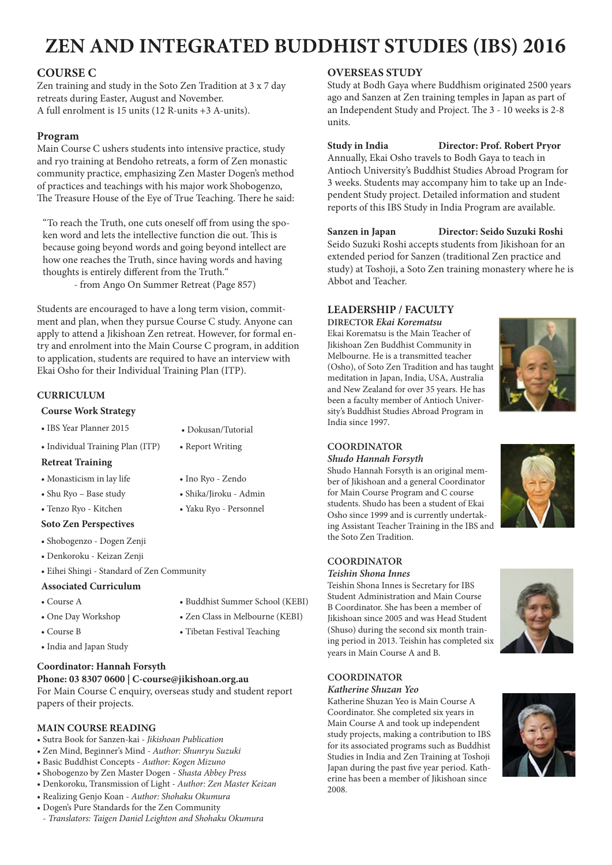### **COURSE C**

Zen training and study in the Soto Zen Tradition at 3 x 7 day retreats during Easter, August and November. A full enrolment is 15 units (12 R-units +3 A-units).

### **Program**

Main Course C ushers students into intensive practice, study and ryo training at Bendoho retreats, a form of Zen monastic community practice, emphasizing Zen Master Dogen's method of practices and teachings with his major work Shobogenzo, The Treasure House of the Eye of True Teaching. There he said:

"To reach the Truth, one cuts oneself off from using the spoken word and lets the intellective function die out. This is because going beyond words and going beyond intellect are how one reaches the Truth, since having words and having thoughts is entirely different from the Truth."

- from Ango On Summer Retreat (Page 857)

Students are encouraged to have a long term vision, commitment and plan, when they pursue Course C study. Anyone can apply to attend a Jikishoan Zen retreat. However, for formal entry and enrolment into the Main Course C program, in addition to application, students are required to have an interview with Ekai Osho for their Individual Training Plan (ITP).

### **CURRICULUM**

### **Course Work Strategy**

| • IBS Year Planner 2015          | • Dokusan/Tutorial |
|----------------------------------|--------------------|
| • Individual Training Plan (ITP) | • Report Writing   |

### **Retreat Training**

- Monasticism in lay life Ino Ryo Zendo
- Shu Ryo Base study Shika/Jiroku Admin
- Tenzo Ryo Kitchen Yaku Ryo Personnel

### **Soto Zen Perspectives**

- • Shobogenzo Dogen Zenji
- • Denkoroku Keizan Zenji
- • Eihei Shingi Standard of Zen Community

### **Associated Curriculum**

- Course A Buddhist Summer School (KEBI)
- 
- 
- One Day Workshop Zen Class in Melbourne (KEBI)
- Course B Tibetan Festival Teaching

• India and Japan Study

### **Coordinator: Hannah Forsyth**

### **Phone: 03 8307 0600 | [C-course@jikishoan.org.au](mailto:c-course@jikishoan.org.au)**

For Main Course C enquiry, overseas study and student report papers of their projects.

### **MAIN COURSE READING**

- • Sutra Book for Sanzen-kai *Jikishoan Publication*
- • Zen Mind, Beginner's Mind *Author: Shunryu Suzuki*
- • Basic Buddhist Concepts *Author: Kogen Mizuno*
- • Shobogenzo by Zen Master Dogen *Shasta Abbey Press*
- • Denkoroku, Transmission of Light *Author: Zen Master Keizan*
- • Realizing Genjo Koan *Author: Shohaku Okumura*
- • Dogen's Pure Standards for the Zen Community
- *Translators: Taigen Daniel Leighton and Shohaku Okumura*

### **OVERSEAS STUDY**

Study at Bodh Gaya where Buddhism originated 2500 years ago and Sanzen at Zen training temples in Japan as part of an Independent Study and Project. The 3 - 10 weeks is 2-8 units.

**Study in India Director: Prof. Robert Pryor** Annually, Ekai Osho travels to Bodh Gaya to teach in Antioch University's Buddhist Studies Abroad Program for 3 weeks. Students may accompany him to take up an Independent Study project. Detailed information and student reports of this IBS Study in India Program are available.

**Sanzen in Japan Director: Seido Suzuki Roshi** Seido Suzuki Roshi accepts students from Jikishoan for an extended period for Sanzen (traditional Zen practice and study) at Toshoji, a Soto Zen training monastery where he is Abbot and Teacher.

### **LEADERSHIP / FACULTY**

**DIRECTOR** *Ekai Korematsu*

Ekai Korematsu is the Main Teacher of Jikishoan Zen Buddhist Community in Melbourne. He is a transmitted teacher (Osho), of Soto Zen Tradition and has taught meditation in Japan, India, USA, Australia and New Zealand for over 35 years. He has been a faculty member of Antioch University's Buddhist Studies Abroad Program in India since 1997.



### **COORDINATOR**

### *Shudo Hannah Forsyth*

Shudo Hannah Forsyth is an original member of Jikishoan and a general Coordinator for Main Course Program and C course students. Shudo has been a student of Ekai Osho since 1999 and is currently undertaking Assistant Teacher Training in the IBS and the Soto Zen Tradition.



### *Teishin Shona Innes*

Teishin Shona Innes is Secretary for IBS Student Administration and Main Course B Coordinator. She has been a member of Jikishoan since 2005 and was Head Student (Shuso) during the second six month training period in 2013. Teishin has completed six years in Main Course A and B.



### **COORDINATOR**

#### *Katherine Shuzan Yeo*

Katherine Shuzan Yeo is Main Course A Coordinator. She completed six years in Main Course A and took up independent study projects, making a contribution to IBS for its associated programs such as Buddhist Studies in India and Zen Training at Toshoji Japan during the past five year period. Katherine has been a member of Jikishoan since 2008.

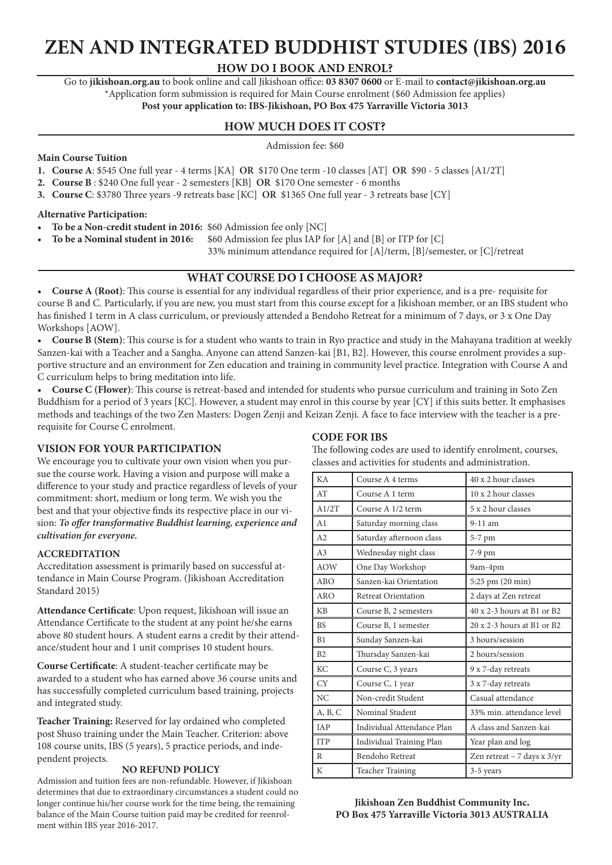### **HOW DO I BOOK AND ENROL?**

Go to **<jikishoan.org.au>** to book online and call Jikishoan office: **03 8307 0600** or E-mail to **[contact@jikishoan.org.au](mailto:contact@jikishoan.org.au)** \*Application form submission is required for Main Course enrolment (\$60 Admission fee applies) **Post your application to: IBS-Jikishoan, PO Box 475 Yarraville Victoria 3013**

### **HOW MUCH DOES IT COST?**

Admission fee: \$60

### **Main Course Tuition**

- **1. Course A**: \$545 One full year 4 terms [KA] **OR** \$170 One term -10 classes [AT] **OR** \$90 5 classes [A1/2T]
- **2. Course B** : \$240 One full year 2 semesters [KB] **OR** \$170 One semester 6 months
- **3. Course C**: \$3780 Three years -9 retreats base [KC] **OR** \$1365 One full year 3 retreats base [CY]

### **Alternative Participation:**

- **To be a Non-credit student in 2016:** \$60 Admission fee only [NC]
	- **To be a Nominal student in 2016:** \$60 Admission fee plus IAP for [A] and [B] or ITP for [C]

33% minimum attendance required for [A]/term, [B]/semester, or [C]/retreat

### **WHAT COURSE DO I CHOOSE AS MAJOR?**

**• Course A (Root)**: This course is essential for any individual regardless of their prior experience, and is a pre- requisite for course B and C. Particularly, if you are new, you must start from this course except for a Jikishoan member, or an IBS student who has finished 1 term in A class curriculum, or previously attended a Bendoho Retreat for a minimum of 7 days, or 3 x One Day Workshops [AOW].

**• Course B (Stem)**: This course is for a student who wants to train in Ryo practice and study in the Mahayana tradition at weekly Sanzen-kai with a Teacher and a Sangha. Anyone can attend Sanzen-kai [B1, B2]. However, this course enrolment provides a supportive structure and an environment for Zen education and training in community level practice. Integration with Course A and C curriculum helps to bring meditation into life.

**• Course C (Flower)**: This course is retreat-based and intended for students who pursue curriculum and training in Soto Zen Buddhism for a period of 3 years [KC]. However, a student may enrol in this course by year [CY] if this suits better. It emphasises methods and teachings of the two Zen Masters: Dogen Zenji and Keizan Zenji. A face to face interview with the teacher is a prerequisite for Course C enrolment.

### **VISION FOR YOUR PARTICIPATION**

We encourage you to cultivate your own vision when you pursue the course work. Having a vision and purpose will make a difference to your study and practice regardless of levels of your commitment: short, medium or long term. We wish you the best and that your objective finds its respective place in our vision: *To offer transformative Buddhist learning, experience and cultivation for everyone.*

### **ACCREDITATION**

Accreditation assessment is primarily based on successful attendance in Main Course Program. (Jikishoan Accreditation Standard 2015)

**Attendance Certificate**: Upon request, Jikishoan will issue an Attendance Certificate to the student at any point he/she earns above 80 student hours. A student earns a credit by their attendance/student hour and 1 unit comprises 10 student hours.

**Course Certificate**: A student-teacher certificate may be awarded to a student who has earned above 36 course units and has successfully completed curriculum based training, projects and integrated study.

**Teacher Training:** Reserved for lay ordained who completed post Shuso training under the Main Teacher. Criterion: above 108 course units, IBS (5 years), 5 practice periods, and independent projects.

Admission and tuition fees are non-refundable. However, if Jikishoan determines that due to extraordinary circumstances a student could no longer continue his/her course work for the time being, the remaining balance of the Main Course tuition paid may be credited for reenrolment within IBS year 2016-2017.

### **CODE FOR IBS**

classes and activities for students and administration. KA Course A 4 terms  $40 \times 2$  hour classes  $AT$  Course A 1 term  $10 \times 2$  hour classes A1/2T Course A 1/2 term  $\begin{array}{|c|c|} \hline 5 & x & 2 & hour \end{array}$  classes A1 Saturday morning class 9-11 am A2 Saturday afternoon class 5-7 pm A3 Wednesday night class 7-9 pm AOW One Day Workshop 9am-4pm ABO Sanzen-kai Orientation 5:25 pm (20 min) ARO Retreat Orientation 2 days at Zen retreat KB Course B, 2 semesters  $40 \times 2-3$  hours at B1 or B2 BS Course B, 1 semester 20 x 2-3 hours at B1 or B2 B1 Sunday Sanzen-kai 3 hours/session B2 Thursday Sanzen-kai 2 hours/session KC Course C, 3 years 9 x 7-day retreats  $CY$  Course C, 1 year  $3 \times 7$ -day retreats NC Non-credit Student Casual attendance A, B, C Nominal Student 33% min. attendance level IAP | Individual Attendance Plan | A class and Sanzen-kai ITP Individual Training Plan Year plan and log R Bendoho Retreat  $\vert$  Zen retreat – 7 days x 3/yr **NO REFUND POLICY** K Teacher Training 3-5 years

The following codes are used to identify enrolment, courses,

### **Jikishoan Zen Buddhist Community Inc. PO Box 475 Yarraville Victoria 3013 AUSTRALIA**